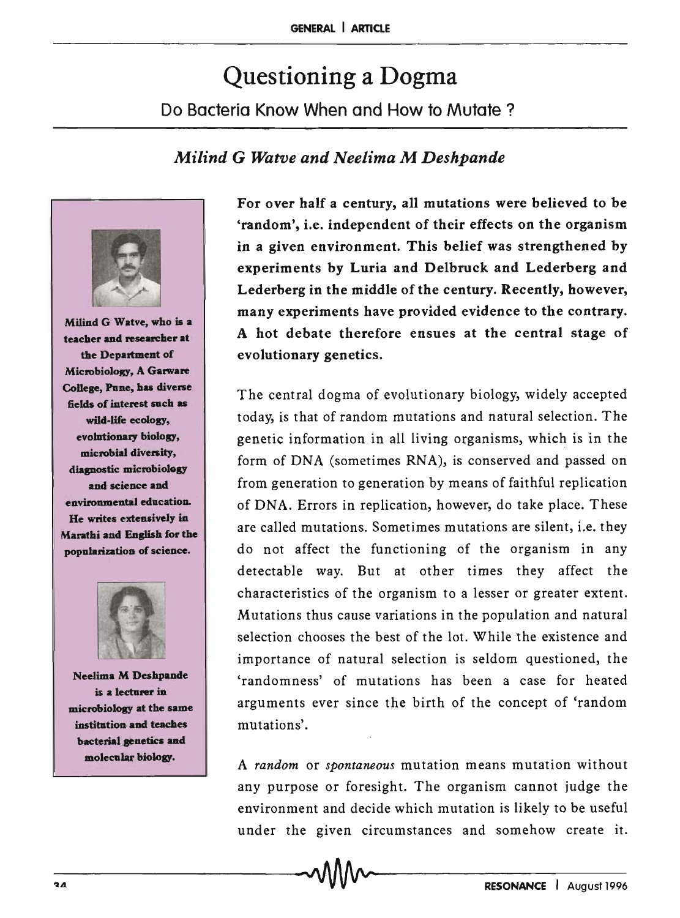# Questioning a Dogma Do Bacteria Know When and How to Mutate?

# *Milind* G *Watve and Neelima* M *Deshpande*



Milind G Watve, who is a teacher and researcher at the Department of Microbiology, A Garware College, Pune, has diverse fields of interest such as wild-life ecology, evolutionary biology, microbial diversity, diapostic microbiology and science and envitomnental education. He writes extensively in Marathi and English for the popularization of science.



Neelima M Deshpande is a lecturer in microbiology at the same institution and teaches bacterial genetics and molecular biology.

For over half a century, all mutations were believed to be 'random', i.e. independent of their effects on the organism in a given environment. This belief was strengthened by experiments by Luria and Delbruck and Lederberg and Lederberg in the middle of the century. Recently, however, many experiments have provided evidence to the contrary. A hot debate therefore ensues at the central stage of evolutionary genetics.

The central dogma of evolutionary biology, widely accepted today, is that of random mutations and natural selection. The genetic information in all living organisms, which is in the form of DNA (sometimes RNA), is conserved and passed on from generation to generation by means of faithful replication of DNA. Errors in replication, however, do take place. These are called mutations. Sometimes mutations are silent, i.e. they do not affect the functioning of the organism in any detectable way. But at other times they affect the characteristics of the organism to a lesser or greater extent. Mutations thus cause variations in the population and natural selection chooses the best of the lot. While the existence and importance of natural selection is seldom questioned, the 'randomness' of mutations has been a case for heated arguments ever since the birth of the concept of 'random mutations'.

A *random* or *spontaneous* mutation means mutation without any purpose or foresight. The organism cannot judge the environment and decide which mutation is likely to be useful under the given circumstances and somehow create it.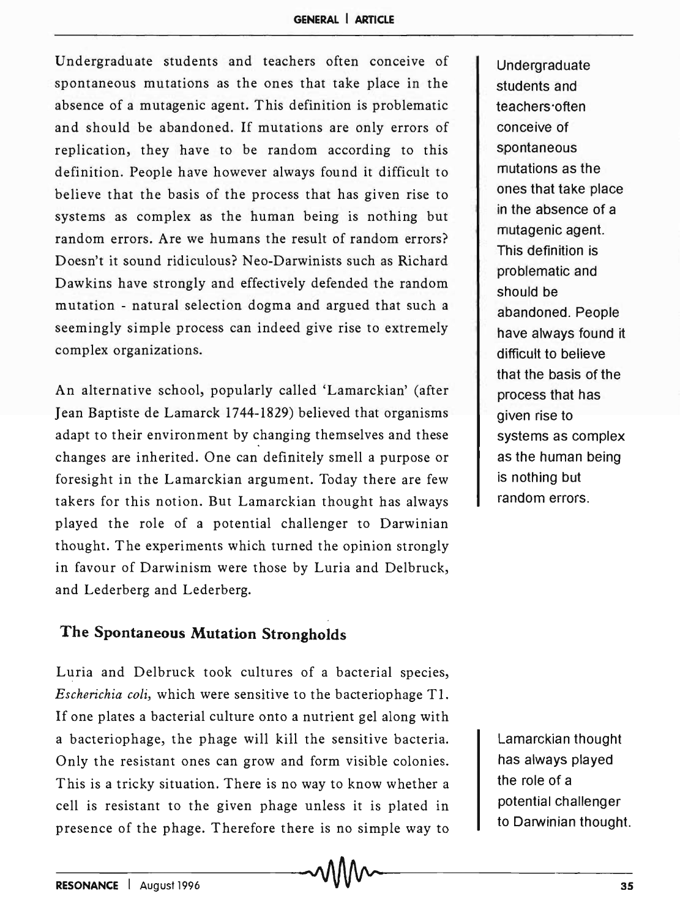Undergraduate students and teachers often conceive of spontaneous mutations as the ones that take place in the absence of a mutagenic agent. This definition is problematic and should be abandoned. If mutations are only errors of replication, they have to be random according to this definition. People have however always found it difficult to believe that the basis of the process that has given rise to systems as complex as the human being is nothing but random errors. Are we humans the result of random errors? Doesn't it sound ridiculous? Neo-Darwinists such as Richard Dawkins have strongly and effectively defended the random mutation - natural selection dogma and argued that such a seemingly simple process can indeed give rise to extremely complex organizations.

An alternative school, popularly called 'Lamarckian' (after Jean Baptiste de Lamarck 1744-1829) believed that organisms adapt to their environment by changing themselves and these changes are inherited. One can definitely smell a purpose or foresight in the Lamarckian argument. Today there are few takers for this notion. But Lamarckian thought has always played the role of a potential challenger to Darwinian thought. The experiments which turned the opinion strongly in favour of Darwinism were those by Luria and Delbruck, and Lederberg and Lederberg.

# **The Spontaneous Mutation Strongholds**

Luria and Delbruck took cultures of a bacterial species, *Escherichia coli,* which were sensitive to the bacteriophage Tl. If one plates a bacterial culture onto a nutrient gel along with a bacteriophage, the phage will kill the sensitive bacteria. Only the resistant ones can grow and form visible colonies. This is a tricky situation. There is no way to know whether a cell is resistant to the given phage unless it is plated in presence of the phage. Therefore there is no simple way to Undergraduate students and teachers'often conceive of spontaneous mutations as the ones that take place in the absence of a mutagenic agent. This definition is problematic and should be abandoned. People have always found it difficult to believe that the basis of the process that has given rise to systems as complex as the human being is nothing but random errors.

Lamarckian thought has always played the role of a potential challenger to Darwinian thought.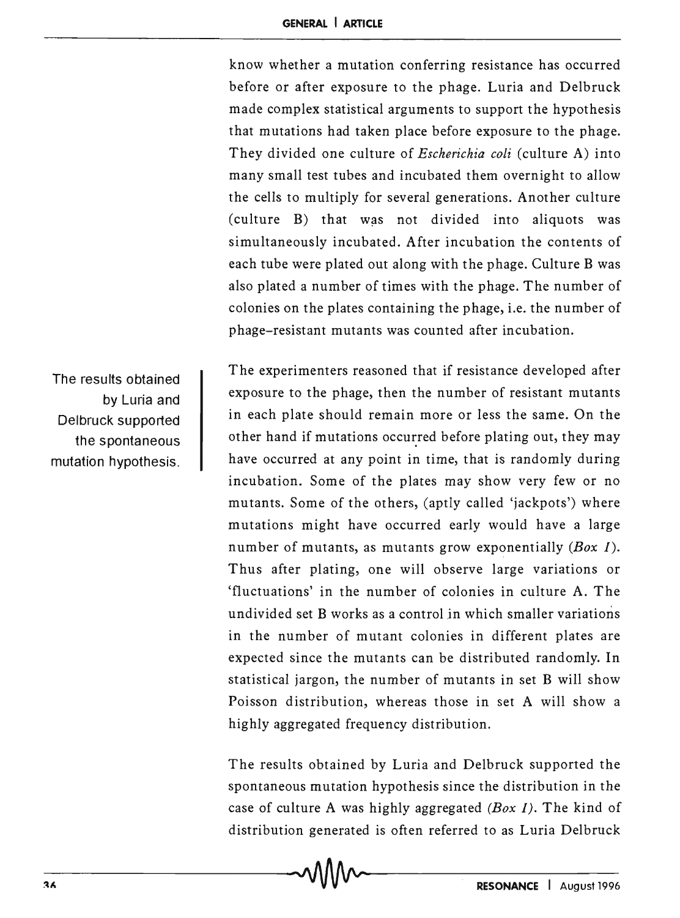know whether a mutation conferring resistance has occurred before or after exposure to the phage. Luria and Delbruck made complex statistical arguments to support the hypothesis that mutations had taken place before exposure to the phage. They divided one culture of *Escherichia coli* (culture A) into many small test tubes and incubated them overnight to allow the cells to multiply for several generations. Another culture  $(culture B)$  that was not divided into aliquots was simultaneously incubated. After incubation the contents of each tube were plated out along with the phage. Culture B was also plated a number of times with the phage. The number of colonies on the plates containing the phage, i.e. the number of phage-resistant mutants was counted after incubation.

The results obtained by Luria and Delbruck supported the spontaneous mutation hypothesis.

The experimenters reasoned that if resistance developed after exposure to the phage, then the number of resistant mutants in each plate should remain more or less the same. On the other hand if mutations occurred before plating out, they may have occurred at any point in time, that is randomly during incubation. Some of the plates may show very few or no mutants. Some of the others, (aptly called 'jackpots') where mutations might have occurred early would have a large number of mutants, as mutants grow exponentially *(Box* 1). Thus after plating, one will observe large variations or 'fluctuations' in the number of colonies in culture A. The undivided set B works as a control in which smaller variations in the number of mutant colonies in different plates are expected since the mutants can be distributed randomly. In statistical jargon, the number of mutants in set B will show Poisson distribution, whereas those in set A will show a highly aggregated frequency distribution.

The results obtained by Luria and Delbruck supported the spontaneous mutation hypothesis since the distribution in the case of culture A was highly aggregated *(Box* 1). The kind of distribution generated is often referred to as Luria Delbruck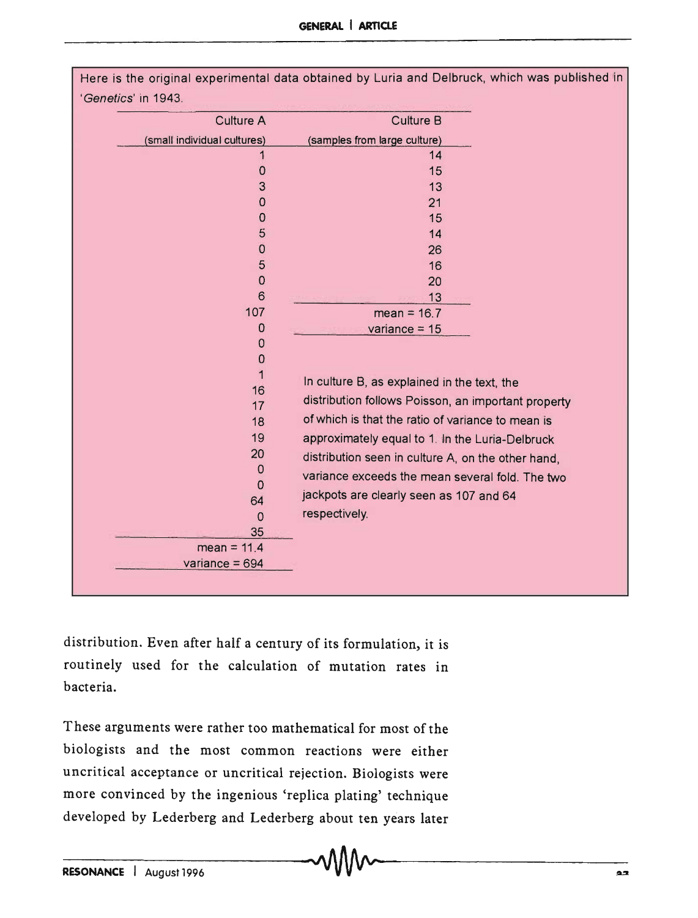| <b>Culture A</b>            | <b>Culture B</b>                                    |
|-----------------------------|-----------------------------------------------------|
| (small individual cultures) | (samples from large culture)                        |
| 1                           | 14                                                  |
| $\mathbf 0$                 | 15                                                  |
| 3                           | 13                                                  |
| 0                           | 21                                                  |
| $\mathbf 0$                 | 15                                                  |
| 5                           | 14                                                  |
| $\mathbf 0$                 | 26                                                  |
| 5                           | 16                                                  |
| $\mathbf 0$                 | 20                                                  |
| 6                           | 13                                                  |
| 107                         | mean = $16.7$                                       |
| 0                           | variance = $15$                                     |
| 0                           |                                                     |
| $\mathbf 0$                 |                                                     |
| 1<br>16                     | In culture B, as explained in the text, the         |
| 17                          | distribution follows Poisson, an important property |
| 18                          | of which is that the ratio of variance to mean is   |
| 19                          | approximately equal to 1. In the Luria-Delbruck     |
| 20                          |                                                     |
| 0                           | distribution seen in culture A, on the other hand,  |
| $\mathbf 0$                 | variance exceeds the mean several fold. The two     |
| 64                          | jackpots are clearly seen as 107 and 64             |
| $\Omega$                    | respectively.                                       |
| 35                          |                                                     |
| $mean = 11.4$               |                                                     |
| variance = $694$            |                                                     |

distribution. Even after half a century of its formulation, it is routinely used for the calculation of mutation rates in bacteria.

These arguments were rather too mathematical for most of the biologists and the most common reactions were either uncritical acceptance or uncritical rejection. Biologists were more convinced by the ingenious 'replica plating' technique developed by Lederberg and Lederberg about ten years later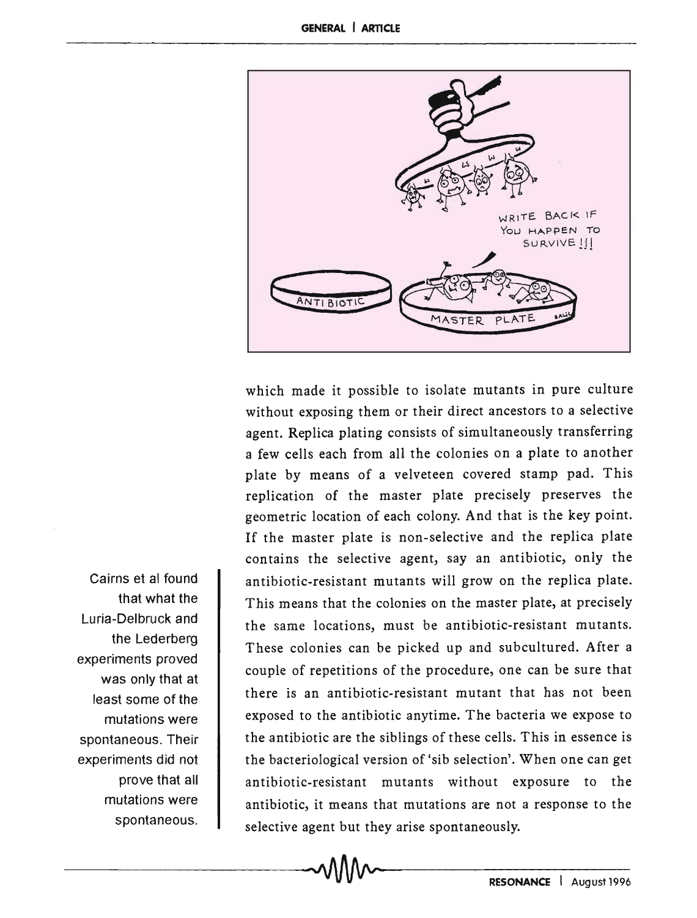

which made it possible to isolate mutants in pure culture without exposing them or their direct ancestors to a selective agent. Replica plating consists of simultaneously transferring a few cells each from all the colonies on a plate to another plate by means of a velveteen covered stamp pad. This replication of the master plate precisely preserves the geometric location of each colony. And that is the key point. If the master plate is non-selective and the replica plate contains the selective agent, sayan antibiotic, only the antibiotic-resistant mutants will grow on the replica plate. This means that the colonies on the master plate, at precisely the same locations, must be antibiotic-resistant mutants. These colonies can be picked up and subcultured. After a couple of repetitions of the procedure, one can be sure that there is an antibiotic-resistant mutant that has not been exposed to the antibiotic anytime. The bacteria we expose to the antibiotic are the siblings of these cells. This in essence is the bacteriological version of 'sib selection'. When one can get antibiotic-resistant mutants without exposure to the antibiotic, it means that mutations are not a response to the selective agent but they arise spontaneously.

Cairns et al found that what the Luria-Delbruck and the Lederberg experiments proved was only that at least some of the mutations were spontaneous. Their experiments did not prove that all mutations were spontaneous.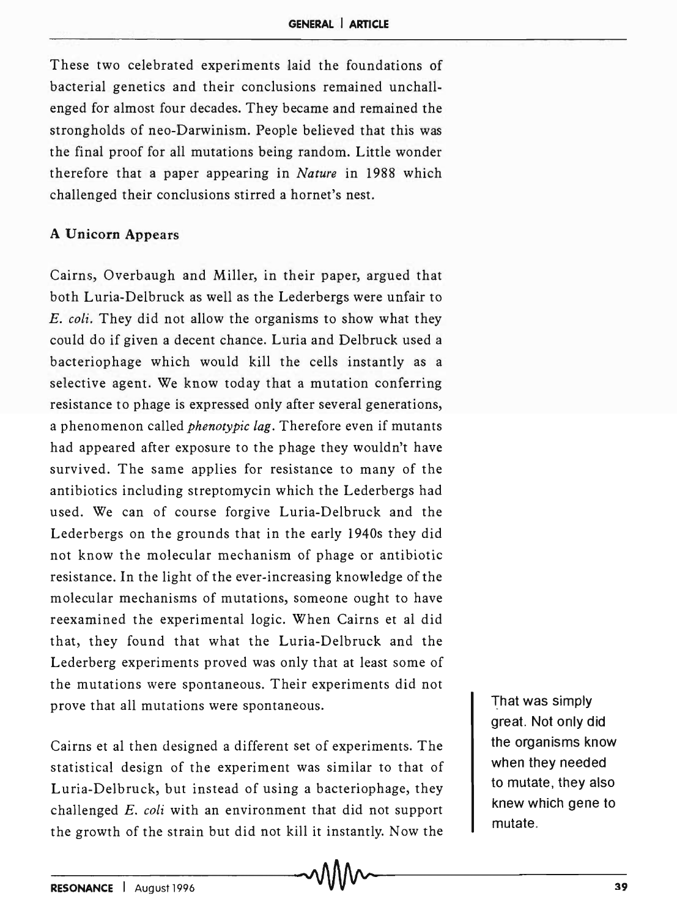These two celebrated experiments laid the foundations of bacterial genetics and their conclusions remained unchallenged for almost four decades. They became and remained the strongholds of neo-Darwinism. People believed that this was the final proof for all mutations being random. Little wonder therefore that a paper appearing in *Nature* in 1988 which challenged their conclusions stirred a hornet's nest.

### A Unicorn Appears

Cairns, Overbaugh and Miller, in their paper, argued that both Luria-Delbruck as well as the Lederbergs were unfair to *E. coli.* They did not allow the organisms to show what they could do if given a decent chance. Luria and Delbruck used a bacteriophage which would kill the cells instantly as a selective agent. We know today that a mutation conferring resistance to phage is expressed only after several generations, a phenomenon called *phenotypic lag.* Therefore even if mutants had appeared after exposure to the phage they wouldn't have survived. The same applies for resistance to many of the antibiotics including streptomycin which the Lederbergs had used. We can of course forgive Luria-Delbruck and the Lederbergs on the grounds that in the early 1940s they did not know the molecular mechanism of phage or antibiotic resistance. In the light of the ever-increasing knowledge of the molecular mechanisms of mutations, someone ought to have reexamined the experimental logic. When Cairns et al did that, they found that what the Luria-Delbruck and the Lederberg experiments proved was only that at least some of the mutations were spontaneous. Their experiments did not prove that all mutations were spontaneous.

Cairns et al then designed a different set of experiments. The statistical design of the experiment was similar to that of Luria-Delbruck, but instead of using a bacteriophage, they challenged E. *coli* with an environment that did not support the growth of the strain but did not kill it instantly. Now the

That was simply great. Not only did the organisms know when they needed to mutate, they also knew which gene to mutate.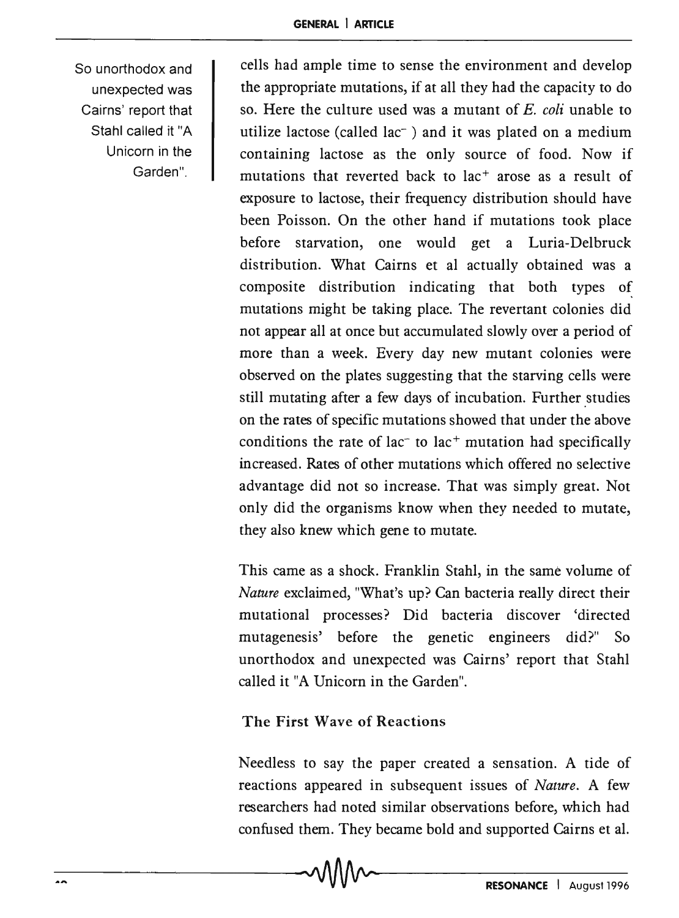So unorthodox and unexpected was Cairns' report that Stahl called it "A Unicorn in the Garden",

cells had ample time to sense the environment and develop the appropriate mutations, if at all they had the capacity to do so. Here the culture used was a mutant of *E. coli* unable to utilize lactose (called lac- ) and it was plated on a medium containing lactose as the only source of food. Now if mutations that reverted back to lac<sup>+</sup> arose as a result of exposure to lactose, their frequency distribution should have been Poisson. On the other hand if mutations took place before starvation, one would get a Luria-Delbruck distribution. What Cairns et al actually obtained was a composite distribution indicating that both types of mutations might be taking place. The revertant colonies did not appear all at once but accumulated slowly over a period of more than a week. Every day new mutant colonies were observed on the plates suggesting that the starving cells were still mutating after a few days of incubation. Further studies on the rates of specific mutations showed that under the above conditions the rate of lac<sup>-</sup> to lac<sup>+</sup> mutation had specifically increased. Rates of other mutations which offered no selective advantage did not so increase. That was simply great. Not only did the organisms know when they needed to mutate, they also knew which gene to mutate.

This came as a shock. Franklin Stahl, in the same volume of *Nature* exclaimed, "What's up? Can bacteria really direct their mutational processes? Did bacteria discover 'directed mutagenesis' before the genetic engineers did?" So unorthodox and unexpected was Cairns' report that Stahl called it "A Unicorn in the Garden".

# The First Wave of Reactions

Needless to say the paper created a sensation. A tide of reactions appeared in subsequent issues of *Nature.* A few researchers had noted similar observations before, which had confused them. They became bold and supported Cairns et al.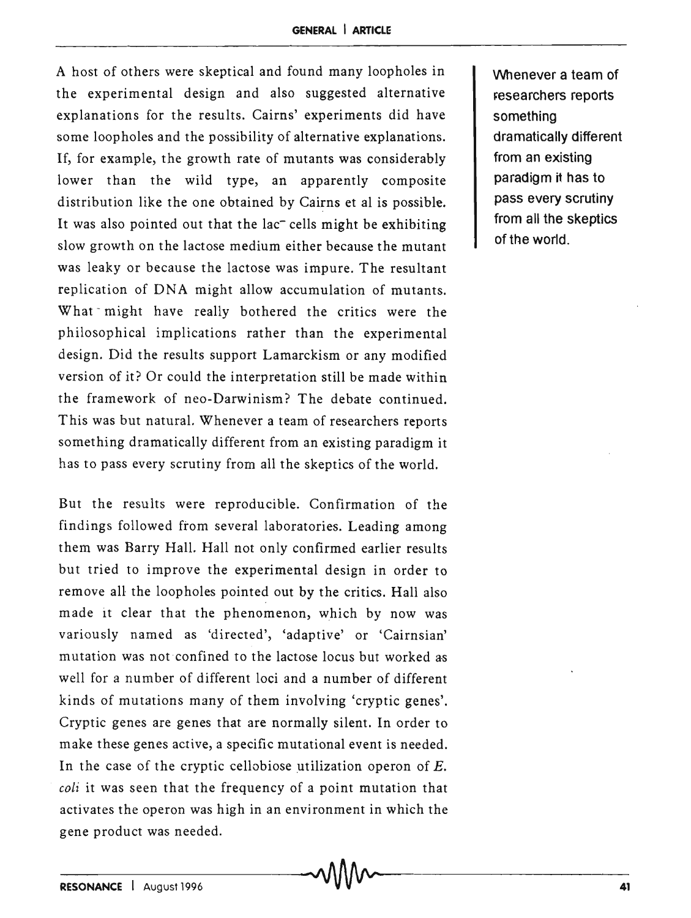#### **GENERAL I ARTICLE**

A host of others were skeptical and found many loopholes in the experimental design and also suggested alternative explanations for the results. Cairns' experiments did have some loopholes and the possibility of alternative explanations. If, for example, the growth rate of mutants was considerably lower than the wild type, an apparently composite distribution like the one obtained by Cairns et al is possible. It was also pointed out that the lac<sup>-</sup> cells might be exhibiting slow growth on the lactose medium either because the mutant was leaky or because the lactose was impure. The resultant replication of DNA might allow accumulation of mutants. What might have really bothered the critics were the philosophical implications rather than the experimental design. Did the results support Lamarckism or any modified version of it? Or could the interpretation still be made within the framework of neo-Darwinism? The debate continued. This was but natural. Whenever a team of researchers reports something dramatically different from an existing paradigm it has to pass every scrutiny from all the skeptics of the world.

But the results were reproducible. Confirmation of the findings followed from several laboratories. Leading among them was Barry Hall. Hall not only confirmed earlier results but tried to improve the experimental design in order to remove all the loopholes pointed out by the critics. Hall also made it clear that the phenomenon, which by now was variously named as 'directed', 'adaptive' or 'Cairnsian' mutation was not confined to the lactose locus but worked as well for a number of different loci and a number of different kinds of mutations many of them involving 'cryptic genes'. Cryptic genes are genes that are normally silent. In order to make these genes active, a specific mutational event is needed. In the case of the cryptic cellobiose utilization operon of  $E$ . *coli* it was seen that the frequency of a point mutation that activates the operon was high in an environment in which the gene product was needed.

Whenever a team of researchers reports something dramatically different from an existing paradigm it has to pass every scrutiny from all the skeptics of the world.